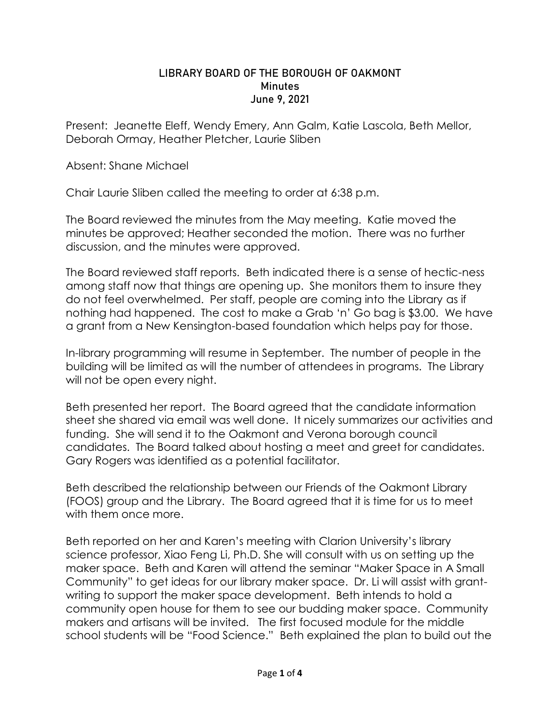## LIBRARY BOARD OF THE BOROUGH OF OAKMONT **Minutes** June 9, 2021

Present: Jeanette Eleff, Wendy Emery, Ann Galm, Katie Lascola, Beth Mellor, Deborah Ormay, Heather Pletcher, Laurie Sliben

Absent: Shane Michael

Chair Laurie Sliben called the meeting to order at 6:38 p.m.

The Board reviewed the minutes from the May meeting. Katie moved the minutes be approved; Heather seconded the motion. There was no further discussion, and the minutes were approved.

The Board reviewed staff reports. Beth indicated there is a sense of hectic-ness among staff now that things are opening up. She monitors them to insure they do not feel overwhelmed. Per staff, people are coming into the Library as if nothing had happened. The cost to make a Grab 'n' Go bag is \$3.00. We have a grant from a New Kensington-based foundation which helps pay for those.

In-library programming will resume in September. The number of people in the building will be limited as will the number of attendees in programs. The Library will not be open every night.

Beth presented her report. The Board agreed that the candidate information sheet she shared via email was well done. It nicely summarizes our activities and funding. She will send it to the Oakmont and Verona borough council candidates. The Board talked about hosting a meet and greet for candidates. Gary Rogers was identified as a potential facilitator.

Beth described the relationship between our Friends of the Oakmont Library (FOOS) group and the Library. The Board agreed that it is time for us to meet with them once more.

Beth reported on her and Karen's meeting with Clarion University's library science professor, Xiao Feng Li, Ph.D. She will consult with us on setting up the maker space. Beth and Karen will attend the seminar "Maker Space in A Small Community" to get ideas for our library maker space. Dr. Li will assist with grantwriting to support the maker space development. Beth intends to hold a community open house for them to see our budding maker space. Community makers and artisans will be invited. The first focused module for the middle school students will be "Food Science." Beth explained the plan to build out the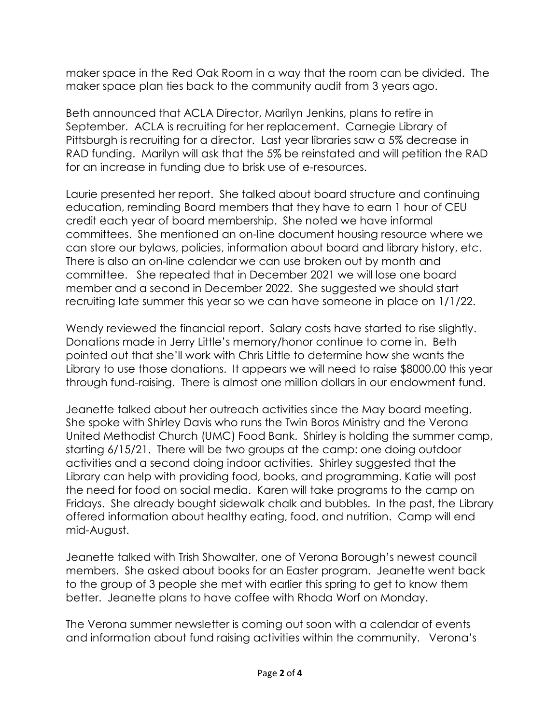maker space in the Red Oak Room in a way that the room can be divided. The maker space plan ties back to the community audit from 3 years ago.

Beth announced that ACLA Director, Marilyn Jenkins, plans to retire in September. ACLA is recruiting for her replacement. Carnegie Library of Pittsburgh is recruiting for a director. Last year libraries saw a 5% decrease in RAD funding. Marilyn will ask that the 5% be reinstated and will petition the RAD for an increase in funding due to brisk use of e-resources.

Laurie presented her report. She talked about board structure and continuing education, reminding Board members that they have to earn 1 hour of CEU credit each year of board membership. She noted we have informal committees. She mentioned an on-line document housing resource where we can store our bylaws, policies, information about board and library history, etc. There is also an on-line calendar we can use broken out by month and committee. She repeated that in December 2021 we will lose one board member and a second in December 2022. She suggested we should start recruiting late summer this year so we can have someone in place on 1/1/22.

Wendy reviewed the financial report. Salary costs have started to rise slightly. Donations made in Jerry Little's memory/honor continue to come in. Beth pointed out that she'll work with Chris Little to determine how she wants the Library to use those donations. It appears we will need to raise \$8000.00 this year through fund-raising. There is almost one million dollars in our endowment fund.

Jeanette talked about her outreach activities since the May board meeting. She spoke with Shirley Davis who runs the Twin Boros Ministry and the Verona United Methodist Church (UMC) Food Bank. Shirley is holding the summer camp, starting 6/15/21. There will be two groups at the camp: one doing outdoor activities and a second doing indoor activities. Shirley suggested that the Library can help with providing food, books, and programming. Katie will post the need for food on social media. Karen will take programs to the camp on Fridays. She already bought sidewalk chalk and bubbles. In the past, the Library offered information about healthy eating, food, and nutrition. Camp will end mid-August.

Jeanette talked with Trish Showalter, one of Verona Borough's newest council members. She asked about books for an Easter program. Jeanette went back to the group of 3 people she met with earlier this spring to get to know them better. Jeanette plans to have coffee with Rhoda Worf on Monday.

The Verona summer newsletter is coming out soon with a calendar of events and information about fund raising activities within the community. Verona's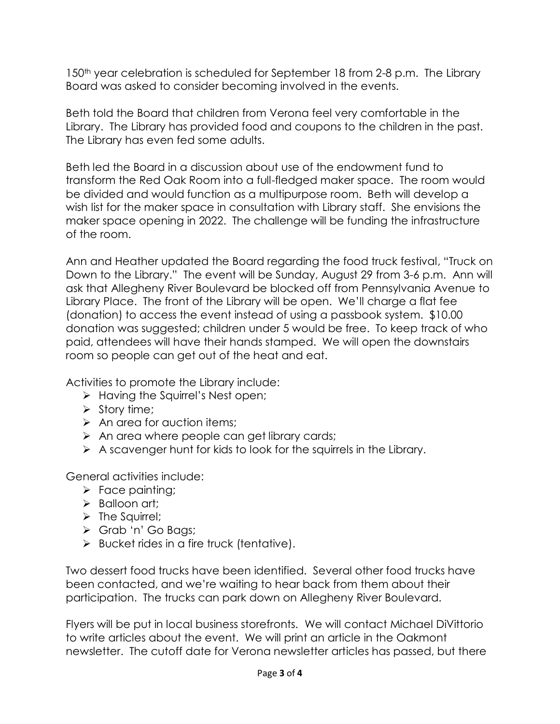150<sup>th</sup> year celebration is scheduled for September 18 from 2-8 p.m. The Library Board was asked to consider becoming involved in the events.

Beth told the Board that children from Verona feel very comfortable in the Library. The Library has provided food and coupons to the children in the past. The Library has even fed some adults.

Beth led the Board in a discussion about use of the endowment fund to transform the Red Oak Room into a full-fledged maker space. The room would be divided and would function as a multipurpose room. Beth will develop a wish list for the maker space in consultation with Library staff. She envisions the maker space opening in 2022. The challenge will be funding the infrastructure of the room.

Ann and Heather updated the Board regarding the food truck festival, "Truck on Down to the Library." The event will be Sunday, August 29 from 3-6 p.m. Ann will ask that Allegheny River Boulevard be blocked off from Pennsylvania Avenue to Library Place. The front of the Library will be open. We'll charge a flat fee (donation) to access the event instead of using a passbook system. \$10.00 donation was suggested; children under 5 would be free. To keep track of who paid, attendees will have their hands stamped. We will open the downstairs room so people can get out of the heat and eat.

Activities to promote the Library include:

- ➢ Having the Squirrel's Nest open;
- ➢ Story time;
- ➢ An area for auction items;
- ➢ An area where people can get library cards;
- $\triangleright$  A scavenger hunt for kids to look for the squirrels in the Library.

General activities include:

- ➢ Face painting;
- ➢ Balloon art;
- ➢ The Squirrel;
- ➢ Grab 'n' Go Bags;
- ➢ Bucket rides in a fire truck (tentative).

Two dessert food trucks have been identified. Several other food trucks have been contacted, and we're waiting to hear back from them about their participation. The trucks can park down on Allegheny River Boulevard.

Flyers will be put in local business storefronts. We will contact Michael DiVittorio to write articles about the event. We will print an article in the Oakmont newsletter. The cutoff date for Verona newsletter articles has passed, but there